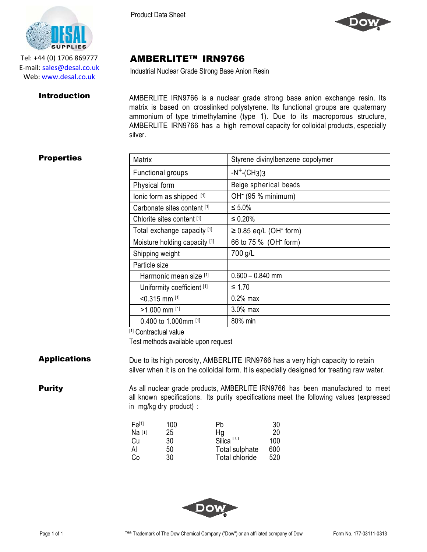AMBERLITE™ IRN9766

Industrial Nuclear Grade Strong Base Anion Resin



Tel: +44 (0) 1706 869777 E‐mail: sales@desal.co.uk Web: www.desal.co.uk

**Introduction** AMBERLITE IRN9766 is a nuclear grade strong base anion exchange resin. Its matrix is based on crosslinked polystyrene. Its functional groups are quaternary ammonium of type trimethylamine (type 1). Due to its macroporous structure, AMBERLITE IRN9766 has a high removal capacity for colloidal products, especially silver.

# **Properties**

| Styrene divinylbenzene copolymer        |
|-----------------------------------------|
| $-N^+$ -(CH3)3                          |
| Beige spherical beads                   |
| OH <sup>-</sup> (95 % minimum)          |
| $\leq 5.0\%$                            |
| $\leq 0.20\%$                           |
| $\geq$ 0.85 eq/L (OH <sup>-</sup> form) |
| 66 to 75 % (OH <sup>-</sup> form)       |
| 700 g/L                                 |
|                                         |
| $0.600 - 0.840$ mm                      |
| ≤ 1.70                                  |
| $0.2\%$ max                             |
| $3.0\%$ max                             |
| 80% min                                 |
|                                         |

### [1] Contractual value Test methods available upon request

**Applications** Due to its high porosity, AMBERLITE IRN9766 has a very high capacity to retain silver when it is on the colloidal form. It is especially designed for treating raw water.

**Purity** As all nuclear grade products, AMBERLITE IRN9766 has been manufactured to meet all known specifications. Its purity specifications meet the following values (expressed in mg/kg dry product) :

| Fe <sup>[1]</sup> | 100 | Pb                    | 30  |
|-------------------|-----|-----------------------|-----|
| Na [1]            | 25  | Hg                    | 20  |
| Cu                | 30  | Silica <sup>[1]</sup> | 100 |
| Al                | 50  | Total sulphate        | 600 |
| Co                | 30  | Total chloride        | 520 |